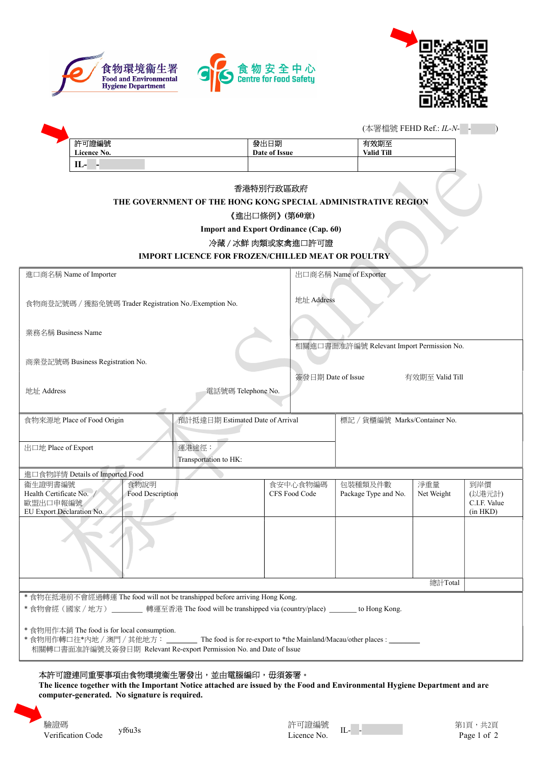



|                                                                                                                                                                                                                               |             |  |                                                                                                      |                                  | (本署檔號 FEHD Ref.: IL-N-                                                             |                               |                                           |  |  |  |
|-------------------------------------------------------------------------------------------------------------------------------------------------------------------------------------------------------------------------------|-------------|--|------------------------------------------------------------------------------------------------------|----------------------------------|------------------------------------------------------------------------------------|-------------------------------|-------------------------------------------|--|--|--|
|                                                                                                                                                                                                                               | 許可證編號       |  | 發出日期                                                                                                 |                                  | 有效期至                                                                               |                               |                                           |  |  |  |
|                                                                                                                                                                                                                               | Licence No. |  |                                                                                                      | Date of Issue                    | <b>Valid Till</b>                                                                  |                               |                                           |  |  |  |
|                                                                                                                                                                                                                               | IL- -       |  |                                                                                                      |                                  |                                                                                    |                               |                                           |  |  |  |
| 香港特別行政區政府<br>THE GOVERNMENT OF THE HONG KONG SPECIAL ADMINISTRATIVE REGION<br>《進出口條例》(第60章)<br><b>Import and Export Ordinance (Cap. 60)</b><br>冷藏 / 冰鮮 肉類或家禽進口許可證<br><b>IMPORT LICENCE FOR FROZEN/CHILLED MEAT OR POULTRY</b> |             |  |                                                                                                      |                                  |                                                                                    |                               |                                           |  |  |  |
| 進口商名稱 Name of Importer                                                                                                                                                                                                        |             |  |                                                                                                      |                                  | 出口商名稱 Name of Exporter                                                             |                               |                                           |  |  |  |
| 業務名稱 Business Name                                                                                                                                                                                                            |             |  | 食物商登記號碼 / 獲豁免號碼 Trader Registration No./Exemption No.                                                |                                  | 地址 Address                                                                         |                               |                                           |  |  |  |
| 商業登記號碼 Business Registration No.                                                                                                                                                                                              |             |  |                                                                                                      |                                  | 相關進口書面准許編號 Relevant Import Permission No.<br>簽發日期 Date of Issue<br>有效期至 Valid Till |                               |                                           |  |  |  |
| 地址 Address                                                                                                                                                                                                                    |             |  | 電話號碼 Telephone No.                                                                                   |                                  |                                                                                    |                               |                                           |  |  |  |
| 食物來源地 Place of Food Origin                                                                                                                                                                                                    |             |  |                                                                                                      | 預計抵達日期 Estimated Date of Arrival |                                                                                    | 標記 / 貨櫃編號 Marks/Container No. |                                           |  |  |  |
| 出口地 Place of Export                                                                                                                                                                                                           |             |  | 運港途徑:<br>Transportation to HK:                                                                       |                                  |                                                                                    |                               |                                           |  |  |  |
| 進口食物詳情 Details of Imported Food                                                                                                                                                                                               |             |  |                                                                                                      |                                  |                                                                                    |                               |                                           |  |  |  |
| 衞生證明書編號<br>食物說明<br>Health Certificate No. /<br>Food Description<br>歐盟出口申報編號<br>EU Export Declaration No.                                                                                                                      |             |  | 食安中心食物編碼<br>CFS Food Code                                                                            |                                  | 包裝種類及件數<br>Package Type and No.                                                    | 淨重量<br>Net Weight             | 到岸價<br>(以港元計)<br>C.I.F. Value<br>(in HKD) |  |  |  |
|                                                                                                                                                                                                                               |             |  |                                                                                                      |                                  |                                                                                    | 總計Total                       |                                           |  |  |  |
|                                                                                                                                                                                                                               |             |  | * 食物在抵港前不會經過轉運 The food will not be transhipped before arriving Hong Kong.                           |                                  |                                                                                    |                               |                                           |  |  |  |
|                                                                                                                                                                                                                               |             |  | * 食物會經(國家 / 地方)________ 轉運至香港 The food will be transhipped via (country/place) _______ to Hong Kong. |                                  |                                                                                    |                               |                                           |  |  |  |
| * 食物用作本銷 The food is for local consumption.<br>* 食物用作轉口往*内地 / 澳門 / 其他地方: _<br>The food is for re-export to *the Mainland/Macau/other places :<br>相關轉口書面准許編號及簽發日期 Relevant Re-export Permission No. and Date of Issue          |             |  |                                                                                                      |                                  |                                                                                    |                               |                                           |  |  |  |

# 本許可證連同重要事項由食物環境衞生署發出,並由電腦編印,毋須簽署。

The licence together with the Important Notice attached are issued by the Food and Environmental Hygiene Department and are computer-generated. No signature is required.